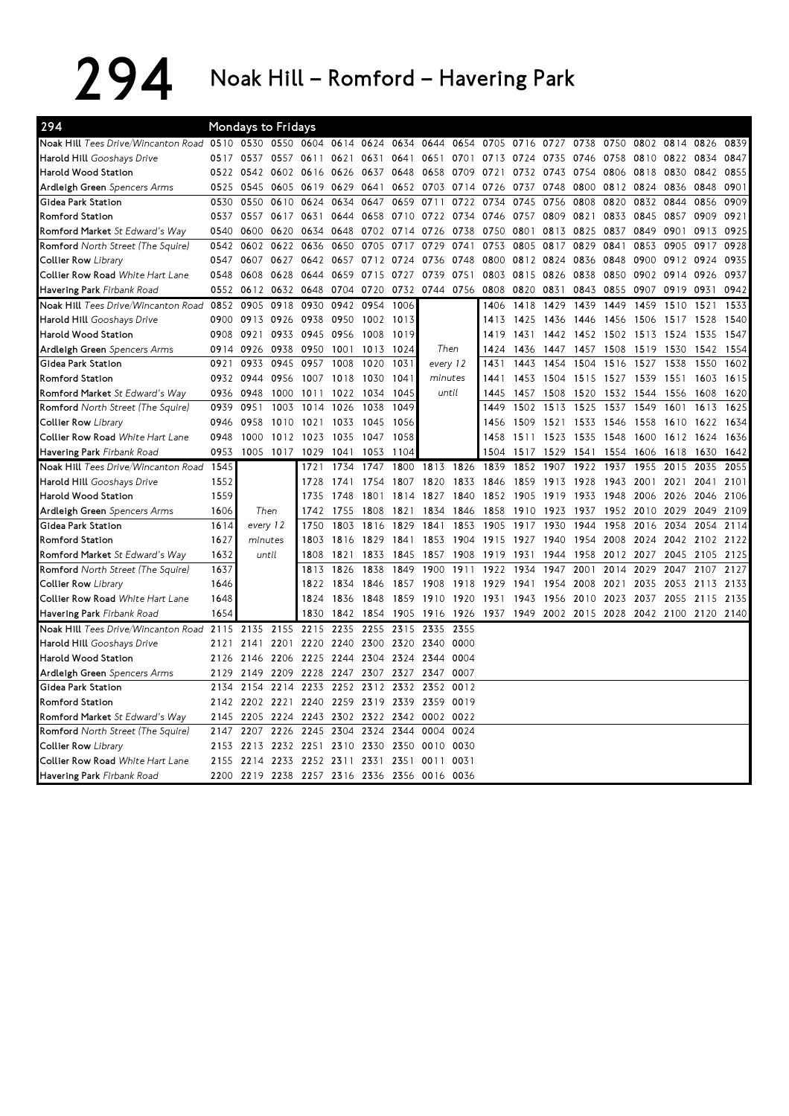294 Noak Hill – Romford – Havering Park

| 294                                      |      | Mondays to Fridays |                |           |           |           |      |           |      |      |                |           |                |           |      |                     |           |      |
|------------------------------------------|------|--------------------|----------------|-----------|-----------|-----------|------|-----------|------|------|----------------|-----------|----------------|-----------|------|---------------------|-----------|------|
| Noak Hill Tees Drive/Wincanton Road 0510 |      | 0530               | 0550           | 0604      | 0614      | 0624      | 0634 | 0644      | 0654 | 0705 | 0716           | 0727      | 0738           | 0750      | 0802 | 0814                | 0826      | 0839 |
| Harold Hill Gooshays Drive               | 0517 |                    | 0537 0557 0611 |           | 0621      | 0631      | 0641 | 0651 0701 |      |      | 0713 0724 0735 |           | 0746           | 0758      | 0810 | 0822                | 0834      | 0847 |
| Harold Wood Station                      | 0522 | 0542               | 0602 0616      |           | 0626      | 0637      | 0648 | 0658      | 0709 | 0721 | 0732           | 0743      | 0754           | 0806      | 0818 | 0830                | 0842      | 0855 |
| Ardleigh Green Spencers Arms             | 0525 | 0545               | 0605 0619      |           | 0629      | 0641      | 0652 | 0703      | 0714 | 0726 | 0737           | 0748      | 0800           | 0812      | 0824 | 0836                | 0848      | 0901 |
| Gidea Park Station                       | 0530 | 0550               | 0610           | 0624      | 0634      | 0647      | 0659 | 0711      | 0722 | 0734 | 0745           | 0756      | 0808           | 0820      | 0832 | 0844                | 0856      | 0909 |
| <b>Romford Station</b>                   | 0537 | 0557               | 0617           | 0631      | 0644      | 0658      | 0710 | 0722 0734 |      | 0746 | 0757           | 0809      | 0821           | 0833      | 0845 | 0857                | 0909      | 0921 |
| Romford Market St Edward's Way           | 0540 | 0600               | 0620           | 0634      | 0648      | 0702      | 0714 | 0726      | 0738 | 0750 | 0801           | 0813      | 0825           | 0837      | 0849 | 0901                | 0913      | 0925 |
| Romford North Street (The Squire)        | 0542 | 0602               | 0622           | 0636      | 0650      | 0705      | 0717 | 0729      | 0741 | 0753 | 0805           | 0817      | 0829           | 0841      | 0853 | 0905                | 0917      | 0928 |
| <b>Collier Row Library</b>               | 0547 | 0607               | 0627           | 0642      | 0657      | 0712 0724 |      | 0736 0748 |      | 0800 | 0812 0824      |           | 0836           | 0848      | 0900 | 0912 0924           |           | 0935 |
| Collier Row Road White Hart Lane         | 0548 | 0608               | 0628           | 0644      | 0659      | 0715      | 0727 | 0739      | 0751 | 0803 | 0815           | 0826      | 0838           | 0850      | 0902 | 0914                | 0926      | 0937 |
| Havering Park Firbank Road               | 0552 | 0612               | 0632           | 0648      | 0704      | 0720      | 0732 | 0744 0756 |      | 0808 | 0820           | 0831      | 0843           | 0855      | 0907 | 0919                | 0931      | 0942 |
| Noak Hill Tees Drive/Wincanton Road      | 0852 | 0905               | 0918           | 0930      | 0942      | 0954      | 1006 |           |      | 1406 | 1418           | 1429      | 1439           | 1449      | 1459 | 1510                | 1521      | 1533 |
| Harold Hill Gooshays Drive               | 0900 | 0913               | 0926 0938      |           | 0950      | 1002      | 1013 |           |      | 1413 | 1425           | 1436      | 1446           | 1456      | 1506 | 1517                | 1528      | 1540 |
| Harold Wood Station                      | 0908 | 0921               | 0933 0945      |           | 0956      | 1008      | 1019 |           |      | 1419 | 1431           | 1442      |                | 1452 1502 | 1513 | 1524                | 1535      | 1547 |
| Ardleigh Green Spencers Arms             | 0914 | 0926               | 0938           | 0950      | 1001      | 1013      | 1024 | Then      |      | 1424 | 1436           | 1447      | 1457           | 1508      | 1519 | 1530                | 1542      | 1554 |
| Gidea Park Station                       | 0921 | 0933               | 0945           | 0957      | 1008      | 1020      | 1031 | every 12  |      | 1431 | 1443           | 1454      | 1504           | 1516      | 1527 | 1538                | 1550      | 1602 |
| <b>Romford Station</b>                   | 0932 | 0944               | 0956           | 1007      | 1018      | 1030      | 1041 | minutes   |      | 1441 | 1453           | 1504      | 1515           | 1527      | 1539 | 1551                | 1603      | 1615 |
| Romford Market St Edward's Way           | 0936 | 0948               | 1000           | 1011      | 1022      | 1034      | 1045 | until     |      | 1445 | 1457           | 1508      | 1520           | 1532      | 1544 | 1556                | 1608      | 1620 |
| Romford North Street (The Squire)        | 0939 | 0951               | 1003           | 1014      | 1026      | 1038      | 1049 |           |      | 1449 | 1502           | 1513      | 1525           | 1537      | 1549 | 1601                | 1613      | 1625 |
| Collier Row Library                      | 0946 | 0958               | 1010           | 1021      | 1033      | 1045      | 1056 |           |      | 1456 | 1509           | 1521      | 1533           | 1546      | 1558 | 1610                | 1622      | 1634 |
| Collier Row Road White Hart Lane         | 0948 | 1000               |                | 1012 1023 | 1035      | 1047      | 1058 |           |      | 1458 | 1511           | 1523      | 1535           | 1548      | 1600 |                     | 1612 1624 | 1636 |
| Havering Park Firbank Road               | 0953 | 1005               | 1017           | 1029      | 1041      | 1053      | 1104 |           |      | 1504 | 1517           | 1529      | 1541           | 1554      | 1606 | 1618                | 1630      | 1642 |
| Noak Hill Tees Drive/Wincanton Road      | 1545 |                    |                | 1721      | 1734      | 1747      | 1800 | 1813      | 1826 | 1839 | 1852           | 1907      | 1922           | 1937      | 1955 | 2015                | 2035      | 2055 |
| Harold Hill Gooshays Drive               | 1552 |                    |                | 1728      | 1741      | 1754      | 1807 | 1820      | 1833 | 1846 | 1859           | 1913      | 1928           | 1943      | 2001 | 2021                | 2041      | 2101 |
| Harold Wood Station                      | 1559 |                    |                | 1735      | 1748      | 1801      | 1814 | 1827      | 1840 | 1852 | 1905           | 1919      | 1933           | 1948      |      | 2006 2026 2046      |           | 2106 |
| Ardleigh Green Spencers Arms             | 1606 | Then               |                | 1742      | 1755      | 1808      | 1821 | 1834      | 1846 | 1858 |                | 1910 1923 | 1937           | 1952      | 2010 | 2029                | 2049      | 2109 |
| Gidea Park Station                       | 1614 | every 12           |                | 1750      | 1803      | 1816      | 1829 | 1841      | 1853 | 1905 | 1917           | 1930      | 1944           | 1958      | 2016 | 2034                | 2054      | 2114 |
| <b>Romford Station</b>                   | 1627 | minutes            |                | 1803      | 1816      | 1829      | 1841 | 1853      | 1904 | 1915 | 1927           | 1940      | 1954           | 2008      | 2024 |                     | 2042 2102 | 2122 |
| Romford Market St Edward's Way           | 1632 | until              |                | 1808      | 1821      | 1833      | 1845 | 1857      | 1908 | 1919 | 1931           | 1944      | 1958           | 2012      | 2027 | 2045                | 2105      | 2125 |
| Romford North Street (The Squire)        | 1637 |                    |                | 1813      | 1826      | 1838      | 1849 | 1900      | 1911 | 1922 | 1934           | 1947      | 2001           | 2014      | 2029 | 2047                | 2107      | 2127 |
| Collier Row Library                      | 1646 |                    |                | 1822      | 1834      | 1846      | 1857 | 1908      | 1918 | 1929 | 1941           | 1954      | 2008           | 2021      | 2035 | 2053                | 2113 2133 |      |
| Collier Row Road White Hart Lane         | 1648 |                    |                | 1824      | 1836      | 1848      | 1859 | 1910      | 1920 | 1931 | 1943           | 1956      | 2010           | 2023      | 2037 | 2055                | 2115      | 2135 |
| Havering Park Firbank Road               | 1654 |                    |                | 1830      | 1842      | 1854      | 1905 | 1916      | 1926 | 1937 | 1949           |           | 2002 2015 2028 |           |      | 2042 2100 2120 2140 |           |      |
| Noak Hill Tees Drive/Wincanton Road      | 2115 | 2135               | 2155           | 2215      | 2235      | 2255      | 2315 | 2335      | 2355 |      |                |           |                |           |      |                     |           |      |
| Harold Hill Gooshays Drive               | 2121 | 2141               | 2201 2220      |           | 2240      | 2300      | 2320 | 2340      | 0000 |      |                |           |                |           |      |                     |           |      |
| Harold Wood Station                      | 2126 | 2146               | 2206           | 2225      | 2244 2304 |           | 2324 | 2344      | 0004 |      |                |           |                |           |      |                     |           |      |
| Ardleigh Green Spencers Arms             | 2129 | 2149               | 2209 2228      |           | 2247 2307 |           | 2327 | 2347      | 0007 |      |                |           |                |           |      |                     |           |      |
| Gidea Park Station                       | 2134 | 2154               | 2214           | 2233      |           | 2252 2312 | 2332 | 2352      | 0012 |      |                |           |                |           |      |                     |           |      |
| <b>Romford Station</b>                   | 2142 | 2202               | 2221 2240      |           | 2259 2319 |           | 2339 | 2359      | 0019 |      |                |           |                |           |      |                     |           |      |
| Romford Market St Edward's Way           | 2145 | 2205               | 2224           | 2243      | 2302 2322 |           | 2342 | 0002 0022 |      |      |                |           |                |           |      |                     |           |      |
| Romford North Street (The Squire)        | 2147 | 2207               | 2226           | 2245      | 2304 2324 |           | 2344 | 0004      | 0024 |      |                |           |                |           |      |                     |           |      |
| Collier Row Library                      | 2153 | 2213               | 2232 2251      |           | 2310 2330 |           | 2350 | 0010      | 0030 |      |                |           |                |           |      |                     |           |      |
| Collier Row Road White Hart Lane         | 2155 | 2214               | 2233           | 2252      | 2311      | 2331      | 2351 | 0011      | 0031 |      |                |           |                |           |      |                     |           |      |
| Havering Park Firbank Road               | 2200 | 2219               | 2238 2257      |           |           | 2316 2336 | 2356 | 0016 0036 |      |      |                |           |                |           |      |                     |           |      |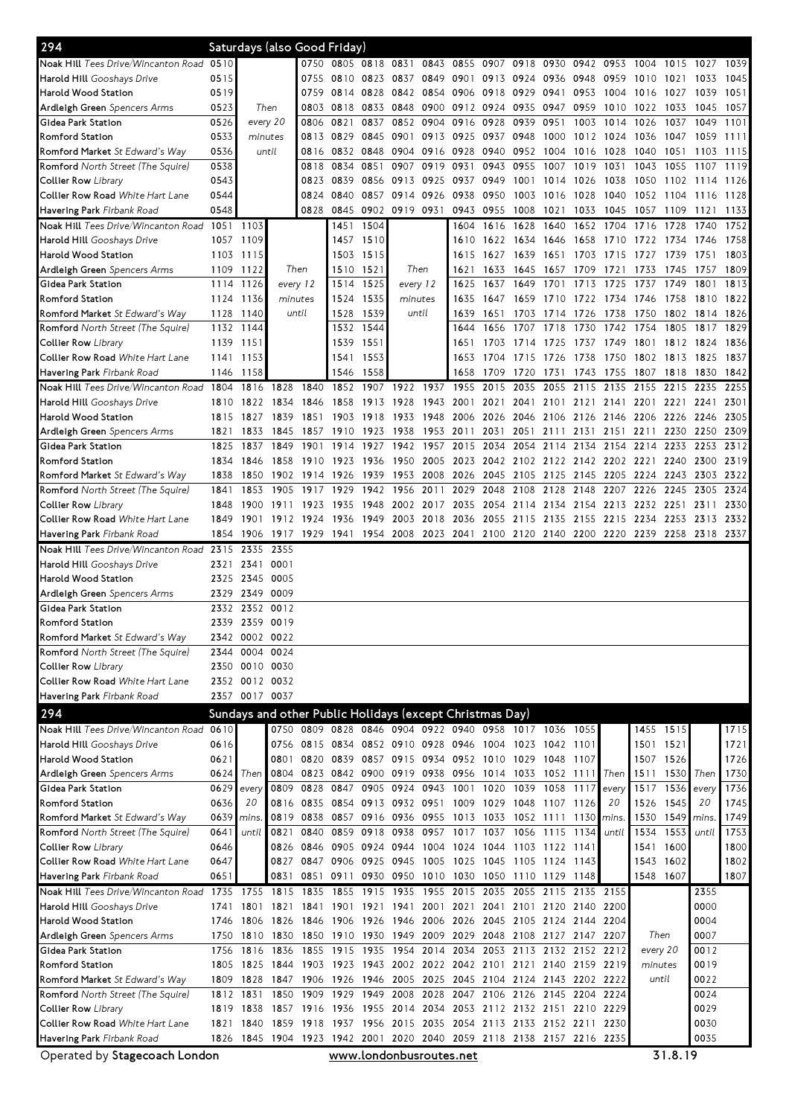| 294                                                                   |                   |                |                | Saturdays (also Good Friday)                                                         |                                                   |                                              |              |                |                |                                    |              |                |                     |              |                                                             |                 |              |              |      |      |
|-----------------------------------------------------------------------|-------------------|----------------|----------------|--------------------------------------------------------------------------------------|---------------------------------------------------|----------------------------------------------|--------------|----------------|----------------|------------------------------------|--------------|----------------|---------------------|--------------|-------------------------------------------------------------|-----------------|--------------|--------------|------|------|
| Noak Hill Tees Drive/Wincanton Road 0510                              |                   |                |                |                                                                                      | 0750 0805 0818 0831 0843 0855 0907 0918           |                                              |              |                |                |                                    |              | 0930           | 0942 0953           |              | 1004                                                        | 1015            | 1027         | 1039         |      |      |
| <b>Harold Hill</b> Gooshavs Drive                                     | 0515              |                |                | 0755                                                                                 | 0810 0823 0837                                    |                                              |              |                | 0849 0901 0913 |                                    | 0924         | 0936 0948      |                     | 0959         | 1010                                                        | 1021            | 1033         | 1045         |      |      |
| Harold Wood Station                                                   | 0519              |                |                |                                                                                      | 0759                                              |                                              | 0814 0828    |                | 0842           | 0854                               | 0906         | 0918           | 0929                | 0941         | 0953                                                        | 1004            | 1016         | 1027         | 1039 | 1051 |
| <b>Ardleigh Green</b> Spencers Arms                                   | 0523              |                | Then           | 0803                                                                                 | 0818                                              | 0833                                         | 0848         | 0900           | 0912           | 0924                               | 0935         | 0947           | 0959                | 1010         | 1022                                                        | 1033            | 1045         | 1057         |      |      |
| Gidea Park Station                                                    | 0526              |                | every 20       | 0806                                                                                 | 0821                                              | 0837                                         | 0852         | 0904           | 0916           | 0928                               | 0939         | 0951           | 1003                | 1014         | 1026                                                        | 1037            | 1049         | 1101         |      |      |
| Romford Station                                                       | 0533              | minutes        |                | 0813                                                                                 | 0829                                              | 0845 0901                                    |              | 0913 0925      |                | 0937                               | 0948         | 1000           | 1012                | 1024         | 1036                                                        | 1047            | 1059         | 1111         |      |      |
| Romford Market St Edward's Way                                        | 0536              |                | until          | 0816                                                                                 | 0832                                              | 0848                                         | 0904         | 0916 0928      |                | 0940                               | 0952         | 1004           | 1016                | 1028         | 1040                                                        | 1051            | 1103         | -1115        |      |      |
| <b>Romford</b> North Street (The Squire)                              | 0538              |                |                | 0818                                                                                 | 0834                                              | 0851                                         | 0907         | 0919           | 0931           | 0943                               | 0955         | 1007           | 1019                | 1031         | 1043                                                        | 1055            | 1107         | 1119         |      |      |
| Collier Row <i>Library</i>                                            | 0543              |                |                | 0823                                                                                 | 0839                                              | 0856 0913                                    |              | 0925           | 0937           | 0949                               | 1001         | 1014           | 1026                | 1038         | 1050                                                        | 1102            | 1114         | 1126         |      |      |
| Collier Row Road <i>White Hart Lane</i>                               | 0544              |                |                | 0824                                                                                 | 0840                                              | 0857                                         | 0914         | 0926           | 0938           | 0950                               | 1003         | 1016           | 1028                | 1040         | 1052 1104                                                   |                 | 1116         | 1128         |      |      |
| <b>Havering Park</b> Firbank Road                                     | 0548              |                |                | 0828                                                                                 |                                                   | 0845 0902 0919                               |              | 0931           | 0943           | 0955                               | 1008         | 1021           | 1033                | 1045         | 1057                                                        | 1109            | 1121         | 1133         |      |      |
| Noak Hill Tees Drive/Wincanton Road 1051 1103                         |                   |                |                |                                                                                      | 1451                                              | 1504                                         |              |                | 1604           | 1616                               | 1628         | 1640           | 1652                | 1704         | 1716                                                        | 1728            | 1740         | 1752         |      |      |
| <b>Harold Hill</b> Gooshays Drive                                     |                   | 1057 1109      |                |                                                                                      |                                                   | 1457 1510                                    |              |                | 1610           | 1622 1634                          |              | 1646           | 1658                | 1710         | 1722 1734                                                   |                 | 1746         | 1758         |      |      |
| Harold Wood Station                                                   |                   | 1103 1115      |                |                                                                                      |                                                   | 1503 1515                                    |              |                | 1615           | 1627                               | 1639         | 1651           | 1703                | 1715         | 1727                                                        | 1739            | 1751         | 1803         |      |      |
| <b>Ardleigh Green</b> Spencers Arms                                   | 1109              | 1122           | Then           |                                                                                      | 1510                                              | 1521                                         | Then         |                | 1621           | 1633                               | 1645         | 1657           | 1709                | 1721         | 1733                                                        | 1745            | 1757         | 1809         |      |      |
| Gidea Park Station                                                    | 1114              | 1126           | every 12       |                                                                                      | 1514                                              | 1525                                         | every 12     |                | 1625           | 1637                               | 1649         | 1701           | 1713                | 1725         | 1737                                                        | 1749            | 1801         | 1813         |      |      |
| Romford Station                                                       | 1124              | 1136           | minutes        |                                                                                      | 1524                                              | 1535                                         | minutes      |                | 1635           | 1647                               | 1659         | 1710           | 1722                | 1734         | 1746                                                        | 1758            | 1810         | 1822         |      |      |
| <b>Romford Market</b> St Edward's Way                                 | 1128              | 1140           | until          |                                                                                      | 1528                                              | 1539                                         | until        |                | 1639           | 1651                               | 1703         | 1714           | 1726                | 1738         | 1750                                                        | 1802            | 1814         | 1826         |      |      |
| Romford North Street (The Squire)                                     | 1132              | 1144           |                |                                                                                      | 1532                                              | 1544                                         |              |                | 1644           | 1656<br>1703                       | 1707         | 1718           | 1730                | 1742         | 1754                                                        | 1805            | 1817<br>1824 | 1829         |      |      |
| Collier Row <i>Library</i><br>Collier Row Road <i>White Hart Lane</i> | 1139 1151<br>1141 | 1153           |                |                                                                                      | 1539<br>1541                                      | 1551<br>1553                                 |              |                | 1651<br>1653   | 1704                               | 1714<br>1715 | 1725<br>1726   | 1737<br>1738        | 1749<br>1750 | 1801<br>1802 1813                                           | 1812            | 1825         | 1836<br>1837 |      |      |
| Havering Park Firbank Road                                            | 1146              | 1158           |                |                                                                                      | 1546                                              | 1558                                         |              |                | 1658           | 1709                               | 1720         | 1731           | 1743                | 1755         | 1807 1818                                                   |                 | 1830         | 1842         |      |      |
| Noak Hill Tees Drive/Wincanton Road 1804                              |                   | 1816           | 1828           | 1840                                                                                 | 1852                                              | 1907                                         | 1922         | 1937           | 1955           | 2015                               | 2035         | 2055           | 2115                | 2135         | 2155 2215                                                   |                 | 2235         | 2255         |      |      |
|                                                                       |                   | 1822           | 1834           |                                                                                      |                                                   |                                              |              | 1943           |                |                                    | 2041         | 2101           |                     | 2141         | 2201                                                        |                 |              | 2301         |      |      |
| <b>Harold Hill</b> Gooshays Drive<br>Harold Wood Station              | 1810<br>1815      | 1827           | 1839           | 1846<br>1851                                                                         | 1858<br>1903                                      | 1913<br>1918                                 | 1928<br>1933 | 1948           | 2001<br>2006   | 2021<br>2026                       |              | 2046 2106 2126 | 2121                | 2146         | 2206 2226                                                   | 2221 2241       | 2246         | 2305         |      |      |
| <b>Ardleigh Green</b> Spencers Arms                                   | 1821              | 1833           | 1845           | 1857                                                                                 | 1910                                              | 1923                                         | 1938         | 1953           | 2011           | 2031                               | 2051         | 2111           | 2131                | 2151         | 2211                                                        | 2230            | 2250 2309    |              |      |      |
| Gidea Park Station                                                    | 1825              | 1837           | 1849           | 1901                                                                                 | 1914                                              | 1927                                         | 1942         | 1957           | 2015           | 2034                               | 2054         | 2114           | 2134                | 2154         | 2214                                                        | 2233            | 2253         | 2312         |      |      |
| Romford Station                                                       | 1834              | 1846           | 1858           | 1910                                                                                 | 1923                                              | 1936                                         | 1950         | 2005           | 2023           | 2042                               | 2102         | 2122 2142      |                     |              | 2202 2221 2240                                              |                 | 2300         | 2319         |      |      |
| Romford Market St Edward's Way                                        | 1838              | 1850           | 1902 1914      |                                                                                      | 1926                                              | 1939                                         | 1953         | 2008           | 2026           | 2045                               | 2105         | 2125           | 2145                | 2205         | 2224 2243                                                   |                 | 2303         | 2322         |      |      |
| <b>Romford</b> North Street (The Squire)                              | 1841              | 1853           | 1905           | 1917                                                                                 | 1929                                              | 1942                                         | 1956         | 2011           |                | 2029 2048                          | 2108         | 2128           | 2148                | 2207         | 2226                                                        | 2245            | 2305         | 2324         |      |      |
| Collier Row <i>Library</i>                                            | 1848              | 1900           | 1911           | 1923                                                                                 | 1935                                              | 1948 2002                                    |              |                |                | 2017 2035 2054 2114 2134 2154 2213 |              |                |                     |              | 2232 2251                                                   |                 | 2311         | 2330         |      |      |
| Collier Row Road <i>White Hart Lane</i>                               | 1849              | 1901           | 1912 1924      |                                                                                      |                                                   |                                              |              |                |                |                                    |              |                |                     |              | 1936 1949 2003 2018 2036 2055 2115 2135 2155 2215 2234 2253 |                 | 2313 2332    |              |      |      |
| <b>Havering Park</b> Firbank Road                                     | 1854              |                |                | 1906 1917 1929 1941 1954 2008 2023 2041 2100 2120 2140 2200 2220 2239 2258 2318 2337 |                                                   |                                              |              |                |                |                                    |              |                |                     |              |                                                             |                 |              |              |      |      |
| Noak Hill Tees Drive/Wincanton Road 2315                              |                   | 2335           | 2355           |                                                                                      |                                                   |                                              |              |                |                |                                    |              |                |                     |              |                                                             |                 |              |              |      |      |
| Harold Hill Gooshays Drive                                            | 2321              | 2341           | 0001           |                                                                                      |                                                   |                                              |              |                |                |                                    |              |                |                     |              |                                                             |                 |              |              |      |      |
| Harold Wood Station                                                   | 2325              | 2345           | 0005           |                                                                                      |                                                   |                                              |              |                |                |                                    |              |                |                     |              |                                                             |                 |              |              |      |      |
| <b>Ardleigh Green</b> Spencers Arms                                   | 2329              | 2349           | 0009           |                                                                                      |                                                   |                                              |              |                |                |                                    |              |                |                     |              |                                                             |                 |              |              |      |      |
| Gidea Park Station                                                    | 2332              | 2352           | 0012           |                                                                                      |                                                   |                                              |              |                |                |                                    |              |                |                     |              |                                                             |                 |              |              |      |      |
| Romford Station                                                       |                   | 2339 2359 0019 |                |                                                                                      |                                                   |                                              |              |                |                |                                    |              |                |                     |              |                                                             |                 |              |              |      |      |
| Romford Market St Edward's Way                                        | 2342              | 0002 0022      |                |                                                                                      |                                                   |                                              |              |                |                |                                    |              |                |                     |              |                                                             |                 |              |              |      |      |
| <b>Romford</b> North Street (The Squire)                              | 2344              | 0004 0024      |                |                                                                                      |                                                   |                                              |              |                |                |                                    |              |                |                     |              |                                                             |                 |              |              |      |      |
| Collier Row Library                                                   | 2350              | 0010 0030      |                |                                                                                      |                                                   |                                              |              |                |                |                                    |              |                |                     |              |                                                             |                 |              |              |      |      |
| Collier Row Road White Hart Lane                                      |                   | 2352 0012 0032 |                |                                                                                      |                                                   |                                              |              |                |                |                                    |              |                |                     |              |                                                             |                 |              |              |      |      |
| Havering Park Firbank Road                                            |                   | 2357 0017 0037 |                |                                                                                      |                                                   |                                              |              |                |                |                                    |              |                |                     |              |                                                             |                 |              |              |      |      |
| 294                                                                   |                   |                |                | Sundays and other Public Holidays (except Christmas Day)                             |                                                   |                                              |              |                |                |                                    |              |                |                     |              |                                                             |                 |              |              |      |      |
| Noak Hill Tees Drive/Wincanton Road 0610                              |                   |                |                | 0750 0809 0828 0846 0904 0922 0940 0958 1017 1036 1055                               |                                                   |                                              |              |                |                |                                    |              |                |                     |              |                                                             | 1455 1515       |              | 1715         |      |      |
| Harold Hill Gooshays Drive                                            | 0616              |                |                | 0756 0815 0834 0852 0910 0928 0946 1004 1023 1042 1101                               |                                                   |                                              |              |                |                |                                    |              |                |                     |              | 1501 1521                                                   |                 |              | 1721         |      |      |
| Harold Wood Station                                                   | 0621              |                |                | 0801 0820 0839 0857 0915 0934 0952 1010 1029 1048 1107                               |                                                   |                                              |              |                |                |                                    |              |                |                     |              | 1507 1526                                                   |                 |              | 1726         |      |      |
| <b>Ardleigh Green</b> Spencers Arms                                   | 0624              | Then           |                | 0804 0823 0842 0900 0919 0938 0956 1014 1033 1052 1111                               |                                                   |                                              |              |                |                |                                    |              |                |                     | Then         |                                                             | 1511 1530 Then  |              | 1730         |      |      |
| Gidea Park Station                                                    | 0629              | every          |                | 0809 0828                                                                            |                                                   | 0847 0905 0924 0943 1001 1020                |              |                |                |                                    |              | 1039 1058 1117 |                     | every        |                                                             | 1517 1536 every |              | 1736         |      |      |
| Romford Station                                                       | 0636              | 20             |                | 0816 0835                                                                            |                                                   | 0854 0913 0932 0951                          |              |                |                | 1009 1029                          |              | 1048 1107 1126 |                     | 20           | 1526                                                        | 1545            | 20           | 1745         |      |      |
| Romford Market St Edward's Way                                        | 0639              | mins.          |                | 0819 0838                                                                            | 0857 0916 0936 0955 1013 1033 1052 1111           |                                              |              |                |                |                                    |              |                | 1130 mins.          |              |                                                             | 1530 1549 mins  |              | 1749         |      |      |
| <b>Romford</b> North Street (The Squire)                              | 0641              | until          |                | 0821 0840                                                                            | 0859 0918 0938                                    |                                              |              |                |                | 0957 1017 1037 1056 1115 1134      |              |                |                     | until        | 1534                                                        | 1553            | until        | 1753         |      |      |
| Collier Row Library                                                   | 0646              |                |                | 0826 0846 0905 0924 0944 1004 1024 1044                                              |                                                   |                                              |              |                |                |                                    |              | 1103 1122 1141 |                     |              | 1541                                                        | 1600            |              | 1800         |      |      |
| Collier Row Road <i>White Hart Lane</i>                               | 0647              |                |                | 0827 0847 0906 0925 0945 1005 1025 1045 1105 1124 1143                               |                                                   |                                              |              |                |                |                                    |              |                |                     |              | 1543                                                        | 1602            |              | 1802         |      |      |
| <b>Havering Park</b> Firbank Road                                     | 0651              |                | 0831           | 0851                                                                                 |                                                   | 0911 0930 0950 1010 1030 1050 1110 1129 1148 |              |                |                |                                    |              |                |                     |              | 1548 1607                                                   |                 |              | 1807         |      |      |
| Noak Hill Tees Drive/Wincanton Road                                   | 1735              | 1755           | 1815 1835      |                                                                                      | 1855                                              | 1915 1935                                    |              | 1955 2015 2035 |                |                                    |              |                | 2055 2115 2135 2155 |              |                                                             |                 | 2355         |              |      |      |
| <b>Harold Hill</b> Gooshays Drive                                     | 1741              | 1801           | 1821 1841      |                                                                                      |                                                   | 1901 1921 1941 2001 2021 2041 2101 2120 2140 |              |                |                |                                    |              |                |                     | 2200         |                                                             |                 | 0000         |              |      |      |
| Harold Wood Station                                                   | 1746              |                | 1806 1826 1846 |                                                                                      | 1906 1926 1946 2006 2026 2045 2105 2124 2144 2204 |                                              |              |                |                |                                    |              |                |                     |              |                                                             |                 | 0004         |              |      |      |
| Ardleigh Green Spencers Arms                                          | 1750              | 1810           |                | 1830 1850                                                                            | 1910 1930 1949 2009 2029 2048 2108 2127 2147 2207 |                                              |              |                |                |                                    |              |                |                     |              | Then                                                        |                 | 0007         |              |      |      |
| Gidea Park Station                                                    | 1756              | 1816           | 1836           | 1855                                                                                 |                                                   | 1915 1935 1954 2014                          |              |                |                | 2034 2053 2113 2132 2152 2212      |              |                |                     |              | every 20                                                    |                 | 0012         |              |      |      |
| Romford Station                                                       | 1805              |                | 1825 1844 1903 |                                                                                      | 1923 1943 2002 2022 2042 2101 2121 2140 2159 2219 |                                              |              |                |                |                                    |              |                |                     |              | minutes                                                     |                 | 0019         |              |      |      |
| Romford Market St Edward's Way                                        | 1809              | 1828           | 1847           | 1906                                                                                 | 1926 1946 2005 2025 2045 2104 2124 2143 2202 2222 |                                              |              |                |                |                                    |              |                |                     |              | until                                                       |                 | 0022         |              |      |      |
| <b>Romford</b> North Street (The Squire)                              |                   | 1812 1831      | 1850           | 1909                                                                                 |                                                   | 1929 1949 2008 2028                          |              |                |                | 2047 2106 2126 2145 2204 2224      |              |                |                     |              |                                                             |                 | 0024         |              |      |      |
| Collier Row Library                                                   | 1819              | 1838           | 1857 1916      |                                                                                      | 1936 1955 2014 2034 2053 2112 2132 2151 2210 2229 |                                              |              |                |                |                                    |              |                |                     |              |                                                             |                 | 0029         |              |      |      |
| Collier Row Road White Hart Lane                                      | 1821              | 1840           |                | 1859 1918                                                                            | 1937 1956 2015 2035 2054 2113 2133 2152 2211      |                                              |              |                |                |                                    |              |                |                     | 2230         |                                                             |                 | 0030         |              |      |      |
| Havering Park Firbank Road                                            |                   |                |                | 1826 1845 1904 1923 1942 2001 2020 2040 2059 2118 2138 2157 2216 2235                |                                                   |                                              |              |                |                |                                    |              |                |                     |              |                                                             |                 | 0035         |              |      |      |
| Operated by Stagecoach London                                         |                   |                |                |                                                                                      | www.londonbusroutes.net                           |                                              |              |                |                |                                    |              |                |                     |              |                                                             | 31.8.19         |              |              |      |      |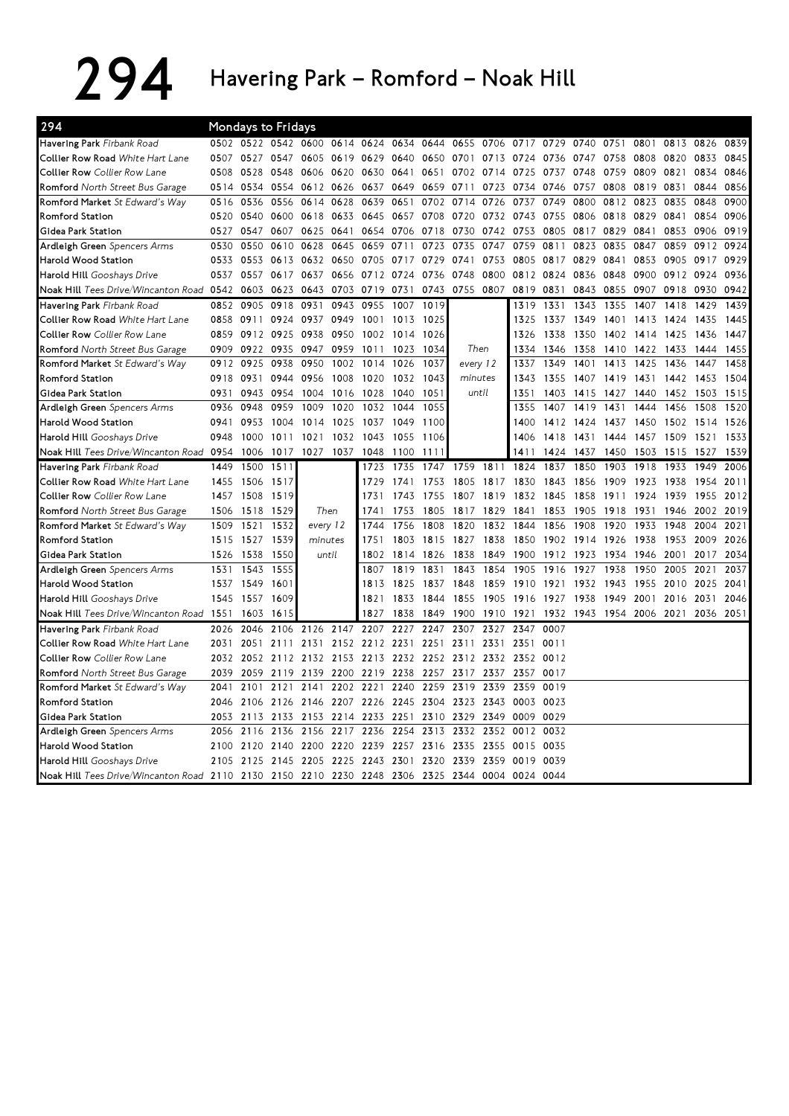294 Havering Park – Romford – Noak Hill

| 294                                                                    |      |      | Mondays to Fridays            |           |           |                |                |           |           |                |                |      |      |      |                |      |      |      |
|------------------------------------------------------------------------|------|------|-------------------------------|-----------|-----------|----------------|----------------|-----------|-----------|----------------|----------------|------|------|------|----------------|------|------|------|
| Havering Park Firbank Road                                             |      |      | 0502 0522 0542 0600 0614 0624 |           |           |                | 0634           | 0644      | 0655 0706 |                | 0717           | 0729 | 0740 | 0751 | 0801           | 0813 | 0826 | 0839 |
| Collier Row Road White Hart Lane                                       | 0507 | 0527 | 0547                          | 0605      | 0619      | 0629           | 0640           | 0650      | 0701      | 0713           | 0724           | 0736 | 0747 | 0758 | 0808           | 0820 | 0833 | 0845 |
| <b>Collier Row</b> Collier Row Lane                                    | 0508 | 0528 | 0548                          | 0606      | 0620      | 0630           | 0641           | 0651      | 0702      | 0714           | 0725           | 0737 | 0748 | 0759 | 0809           | 0821 | 0834 | 0846 |
| Romford North Street Bus Garage                                        | 0514 | 0534 | 0554                          | 0612      | 0626      | 0637           | 0649           | 0659      | 0711      | 0723           | 0734           | 0746 | 0757 | 0808 | 0819           | 0831 | 0844 | 0856 |
| Romford Market St Edward's Way                                         | 0516 | 0536 | 0556                          | 0614      | 0628      | 0639           | 0651           | 0702      | 0714      | 0726           | 0737           | 0749 | 0800 | 0812 | 0823           | 0835 | 0848 | 0900 |
| <b>Romford Station</b>                                                 | 0520 | 0540 | 0600                          | 0618      | 0633      | 0645           | 0657           | 0708      | 0720      | 0732           | 0743           | 0755 | 0806 | 0818 | 0829           | 0841 | 0854 | 0906 |
| lGidea Park Station                                                    | 0527 | 0547 | 0607                          | 0625      | 0641      | 0654           | 0706           | 0718      | 0730      | 0742           | 0753           | 0805 | 0817 | 0829 | 0841           | 0853 | 0906 | 0919 |
| Ardleigh Green Spencers Arms                                           | 0530 | 0550 | 0610                          | 0628      | 0645      | 0659           | 0711           | 0723      | 0735      | 0747           | 0759           | 0811 | 0823 | 0835 | 0847           | 0859 | 0912 | 0924 |
| Harold Wood Station                                                    | 0533 | 0553 | 0613                          | 0632      | 0650      | 0705           | 0717           | 0729      | 0741      | 0753           | 0805           | 0817 | 0829 | 0841 | 0853           | 0905 | 0917 | 0929 |
| Harold Hill Gooshays Drive                                             | 0537 | 0557 | 0617                          | 0637      | 0656      | 0712           | 0724           | 0736      | 0748      | 0800           | 0812           | 0824 | 0836 | 0848 | 0900           | 0912 | 0924 | 0936 |
| Noak Hill Tees Drive/Wincanton Road 0542                               |      | 0603 | 0623                          | 0643      | 0703      | 0719           | 0731           | 0743      | 0755 0807 |                | 0819           | 0831 | 0843 | 0855 | 0907           | 0918 | 0930 | 0942 |
| Havering Park Firbank Road                                             | 0852 | 0905 | 0918                          | 0931      | 0943      | 0955           | 1007           | 1019      |           |                | 1319           | 1331 | 1343 | 1355 | 1407           | 1418 | 1429 | 1439 |
| Collier Row Road <i>White Hart Lane</i>                                | 0858 | 0911 | 0924                          | 0937      | 0949      | 1001           | 1013           | 1025      |           |                | 1325           | 1337 | 1349 | 1401 | 1413           | 1424 | 1435 | 1445 |
| Collier Row Collier Row Lane                                           | 0859 |      | 0912 0925 0938                |           | 0950      | 1002           | 1014           | 1026      |           |                | 1326           | 1338 | 1350 |      | 1402 1414 1425 |      | 1436 | 1447 |
| Romford North Street Bus Garage                                        | 0909 | 0922 | 0935                          | 0947      | 0959      | 1011           | 1023           | 1034      | Then      |                | 1334           | 1346 | 1358 | 1410 | 1422           | 1433 | 1444 | 1455 |
| Romford Market St Edward's Way                                         | 0912 | 0925 | 0938                          | 0950      | 1002      | 1014           | 1026           | 1037      | every 12  |                | 1337           | 1349 | 1401 | 1413 | 1425           | 1436 | 1447 | 1458 |
| <b>Romford Station</b>                                                 | 0918 | 0931 | 0944                          | 0956      | 1008      | 1020           | 1032           | 1043      | minutes   |                | 1343           | 1355 | 1407 | 1419 | 1431           | 1442 | 1453 | 1504 |
| lGidea Park Station                                                    | 0931 | 0943 | 0954                          | 1004      | 1016      | 1028           | 1040           | 1051      | until     |                | 1351           | 1403 | 1415 | 1427 | 1440           | 1452 | 1503 | 1515 |
| Ardleigh Green Spencers Arms                                           | 0936 | 0948 | 0959                          | 1009      | 1020      | 1032           | 1044           | 1055      |           |                | 1355           | 1407 | 1419 | 1431 | 1444           | 1456 | 1508 | 1520 |
| Harold Wood Station                                                    | 0941 | 0953 | 1004                          | 1014      | 1025      | 1037           | 1049           | 1100      |           |                | 1400           | 1412 | 1424 | 1437 | 1450           | 1502 | 1514 | 1526 |
| Harold Hill Gooshays Drive                                             | 0948 | 1000 | 1011                          | 1021      | 1032      | 1043           | 1055           | 1106      |           |                | 1406           | 1418 | 1431 | 1444 | 1457           | 1509 | 1521 | 1533 |
| Noak Hill Tees Drive/Wincanton Road                                    | 0954 | 1006 | 1017                          | 1027      | 1037      | 1048           | 1100           | 1111      |           |                | 1411           | 1424 | 1437 | 1450 | 1503           | 1515 | 1527 | 1539 |
| Havering Park Firbank Road                                             | 1449 | 1500 | 1511                          |           |           | 1723           | 1735           | 1747      | 1759      | 1811           | 1824           | 1837 | 1850 | 1903 | 1918           | 1933 | 1949 | 2006 |
| Collier Row Road White Hart Lane                                       | 1455 | 1506 | 1517                          |           |           | 1729           | 1741           | 1753      | 1805      | 1817           | 1830           | 1843 | 1856 | 1909 | 1923           | 1938 | 1954 | 2011 |
| Collier Row Collier Row Lane                                           | 1457 | 1508 | 1519                          |           |           | 1731           | 1743           | 1755      | 1807      | 1819           | 1832           | 1845 | 1858 | 1911 | 1924           | 1939 | 1955 | 2012 |
| Romford North Street Bus Garage                                        | 1506 | 1518 | 1529                          |           | Then      | 1741           | 1753           | 1805      | 1817      | 1829           | 1841           | 1853 | 1905 | 1918 | 1931           | 1946 | 2002 | 2019 |
| Romford Market St Edward's Way                                         | 1509 | 1521 | 1532                          | every 12  |           | 1744           | 1756           | 1808      | 1820      | 1832           | 1844           | 1856 | 1908 | 1920 | 1933           | 1948 | 2004 | 2021 |
| <b>Romford Station</b>                                                 | 1515 | 1527 | 1539                          | minutes   |           | 1751           | 1803           | 1815 1827 |           | 1838           | 1850           | 1902 | 1914 | 1926 | 1938           | 1953 | 2009 | 2026 |
| Gidea Park Station                                                     | 1526 | 1538 | 1550                          | until     |           | 1802           | 1814           | 1826      | 1838      | 1849           | 1900           | 1912 | 1923 | 1934 | 1946           | 2001 | 2017 | 2034 |
| Ardleigh Green Spencers Arms                                           | 1531 | 1543 | 1555                          |           |           | 1807           | 1819           | 1831      | 1843      | 1854           | 1905           | 1916 | 1927 | 1938 | 1950           | 2005 | 2021 | 2037 |
| <b>Harold Wood Station</b>                                             | 1537 | 1549 | 1601                          |           |           | 1813           | 1825           | 1837 1848 |           | 1859           | 1910           | 1921 | 1932 | 1943 | 1955           | 2010 | 2025 | 2041 |
| Harold Hill Gooshays Drive                                             | 1545 | 1557 | 1609                          |           |           | 1821           | 1833           | 1844      | 1855      | 1905           | 1916           | 1927 | 1938 | 1949 | 2001           | 2016 | 2031 | 2046 |
| Noak Hill Tees Drive/Wincanton Road 1551                               |      | 1603 | 1615                          |           |           | 1827           | 1838           | 1849      | 1900      | 1910           | 1921           | 1932 | 1943 | 1954 | 2006           | 2021 | 2036 | 2051 |
| Havering Park Firbank Road                                             | 2026 | 2046 |                               | 2106 2126 | 2147      | 2207           | 2227           | 2247      | 2307      | 2327           | 2347           | 0007 |      |      |                |      |      |      |
| <b>Collier Row Road</b> White Hart Lane                                | 2031 | 2051 |                               | 2111 2131 |           | 2152 2212 2231 |                | 2251      | 2311      | 2331           | 2351           | 0011 |      |      |                |      |      |      |
| Collier Row Collier Row Lane                                           | 2032 | 2052 | 2112 2132 2153 2213           |           |           |                | 2232 2252 2312 |           |           | 2332 2352 0012 |                |      |      |      |                |      |      |      |
| Romford North Street Bus Garage                                        | 2039 | 2059 | 2119                          | 2139      |           | 2200 2219      | 2238           |           | 2257 2317 |                | 2337 2357      | 0017 |      |      |                |      |      |      |
| Romford Market St Edward's Way                                         | 2041 | 2101 | 2121                          | 2141      | 2202      | 2221           | 2240           | 2259      | 2319      | 2339           | 2359           | 0019 |      |      |                |      |      |      |
| <b>Romford Station</b>                                                 | 2046 | 2106 | 2126                          | 2146      | 2207 2226 |                | 2245           | 2304      | 2323      | 2343 0003      |                | 0023 |      |      |                |      |      |      |
| Gidea Park Station                                                     | 2053 | 2113 | 2133                          | 2153      | 2214      | 2233           | 2251           | 2310      | 2329      | 2349           | 0009           | 0029 |      |      |                |      |      |      |
| Ardleigh Green Spencers Arms                                           | 2056 | 2116 | 2136                          | 2156      | 2217      | 2236           | 2254           | 2313      | 2332      |                | 2352 0012 0032 |      |      |      |                |      |      |      |
| Harold Wood Station                                                    | 2100 | 2120 | 2140 2200                     |           | 2220 2239 |                | 2257           | 2316 2335 |           | 2355           | 0015           | 0035 |      |      |                |      |      |      |
| Harold Hill Gooshays Drive                                             | 2105 | 2125 | 2145                          | 2205      |           | 2225 2243      | 2301           | 2320 2339 |           | 2359           | 0019           | 0039 |      |      |                |      |      |      |
| Noak Hill Tees Drive/Wincanton Road 2110 2130 2150 2210 2230 2248 2306 |      |      |                               |           |           |                |                |           | 2325 2344 |                | 0004 0024 0044 |      |      |      |                |      |      |      |